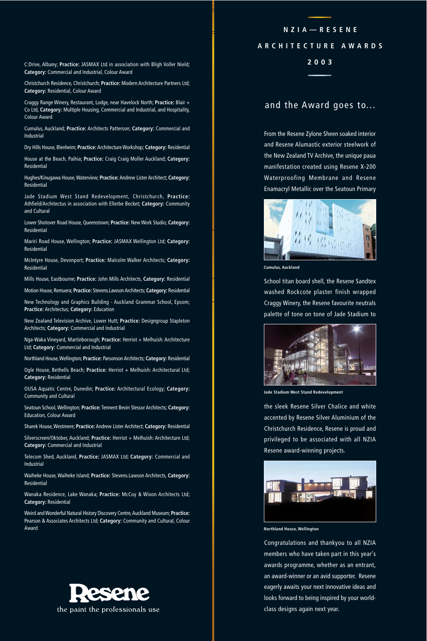C:Drive, Albany; **Practice:** JASMAX Ltd in association with Bligh Voller Nield; **2003 Category:** Commercial and Industrial, Colour Award

Christchurch Residence, Christchurch; **Practice:** Modern Architecture Partners Ltd; **Category:** Residential, Colour Award

Craggy Range Winery, Restaurant, Lodge, near Havelock North; **Practice:** Blair + Co Ltd, **Category:** Multiple Housing, Commercial and Industrial, and Hospitality, Colour Award

Cumulus, Auckland; **Practice:** Architects Patterson; **Category:** Commercial and Industrial

Dry Hills House, Blenheim; **Practice:** Architecture Workshop; **Category:** Residential

House at the Beach, Paihia; **Practice:** Craig Craig Moller Auckland; **Category:** Residential

Hughes/Kinugawa House, Waterview; **Practice:** Andrew Lister Architect; **Category:** Residential

Jade Stadium West Stand Redevelopment, Christchurch, **Practice:** Athfield/Architectus in association with Ellerbe Becket; **Category:** Community and Cultural

Lower Shotover Road House, Queenstown; **Practice:** New Work Studio; **Category:** Residential

Mariri Road House, Wellington; **Practice:** JASMAX Wellington Ltd; **Category:** Residential

McIntyre House, Devonport; **Practice:** Malcolm Walker Architects; **Category:** Residential

Mills House, Eastbourne; **Practice:** John Mills Architects, **Category:** Residential

Motion House, Remuera; **Practice:** Stevens.Lawson Architects; **Category:** Residential New Technology and Graphics Building - Auckland Grammar School, Epsom;

**Practice:** Architectus; **Category:** Education

New Zealand Television Archive, Lower Hutt; **Practice:** Designgroup Stapleton Architects; **Category:** Commercial and Industrial

Nga-Waka Vineyard, Martinborough; **Practice:** Herriot + Melhuish: Architecture Ltd; **Category:** Commercial and Industrial

Northland House, Wellington; **Practice:** Parsonson Architects; **Category:** Residential

Ogle House, Bethells Beach; Practice: Herriot + Melhuish: Architectural Ltd; **Category:** Residential

OUSA Aquatic Centre, Dunedin; **Practice:** Architectural Ecology; **Category:** Community and Cultural

Seatoun School, Wellington; **Practice:** Tennent Bevin Slessor Architects; **Category:** Education, Colour Award

Sharek House, Westmere; **Practice:** Andrew Lister Architect; **Category:** Residential

Silverscreen/Oktober, Auckland; Practice: Herriot + Melhuish: Architecture Ltd; **Category:** Commercial and Industrial

Telecom Shed, Auckland, **Practice:** JASMAX Ltd; **Category:** Commercial and Industrial

Waiheke House, Waiheke Island; **Practice:** Stevens.Lawson Architects, **Category:** Residential

Wanaka Residence, Lake Wanaka; **Practice:** McCoy & Wixon Architects Ltd; **Category:** Residential

Weird and Wonderful Natural History Discovery Centre, Auckland Museum; **Practice:** Pearson & Associates Architects Ltd; **Category:** Community and Cultural, Colour Award



# **NZIA—RESENE ARCHITECTURE AWARDS**

# and the Award goes to...

From the Resene Zylone Sheen soaked interior and Resene Alumastic exterior steelwork of the New Zealand TV Archive, the unique paua manifestation created using Resene X-200 Waterproofing Membrane and Resene Enamacryl Metallic over the Seatoun Primary



**Cumulus, Auckland**

School titan board shell, the Resene Sandtex washed Rockcote plaster finish wrapped Craggy Winery, the Resene favourite neutrals palette of tone on tone of Jade Stadium to



**Jade Stadium West Stand Redevelopment**

the sleek Resene Silver Chalice and white accented by Resene Silver Aluminium of the Christchurch Residence, Resene is proud and privileged to be associated with all NZIA Resene award-winning projects.



**Northland House, Wellington**

Congratulations and thankyou to all NZIA members who have taken part in this year's awards programme, whether as an entrant, an award-winner or an avid supporter. Resene eagerly awaits your next innovative ideas and looks forward to being inspired by your worldclass designs again next year.